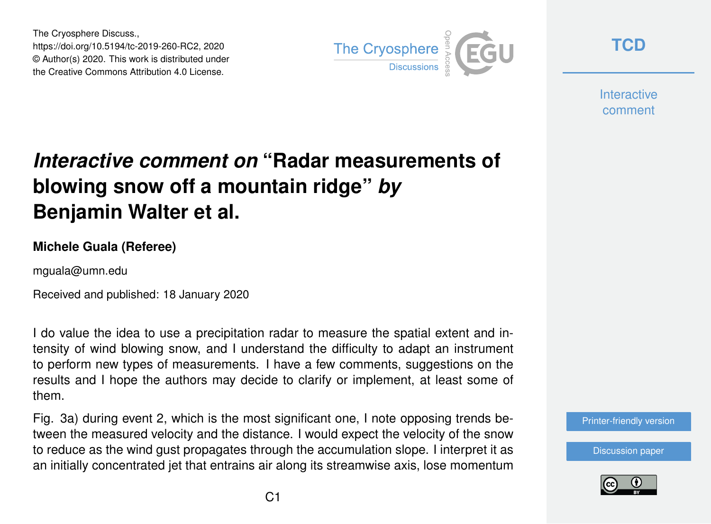The Cryosphere Discuss., https://doi.org/10.5194/tc-2019-260-RC2, 2020 © Author(s) 2020. This work is distributed under the Creative Commons Attribution 4.0 License.



**[TCD](https://www.the-cryosphere-discuss.net/)**

**Interactive** comment

# *Interactive comment on* **"Radar measurements of blowing snow off a mountain ridge"** *by* **Benjamin Walter et al.**

### **Michele Guala (Referee)**

mguala@umn.edu

Received and published: 18 January 2020

I do value the idea to use a precipitation radar to measure the spatial extent and intensity of wind blowing snow, and I understand the difficulty to adapt an instrument to perform new types of measurements. I have a few comments, suggestions on the results and I hope the authors may decide to clarify or implement, at least some of them.

Fig. 3a) during event 2, which is the most significant one, I note opposing trends between the measured velocity and the distance. I would expect the velocity of the snow to reduce as the wind gust propagates through the accumulation slope. I interpret it as an initially concentrated jet that entrains air along its streamwise axis, lose momentum

#### [Printer-friendly version](https://www.the-cryosphere-discuss.net/tc-2019-260/tc-2019-260-RC2-print.pdf)

[Discussion paper](https://www.the-cryosphere-discuss.net/tc-2019-260)

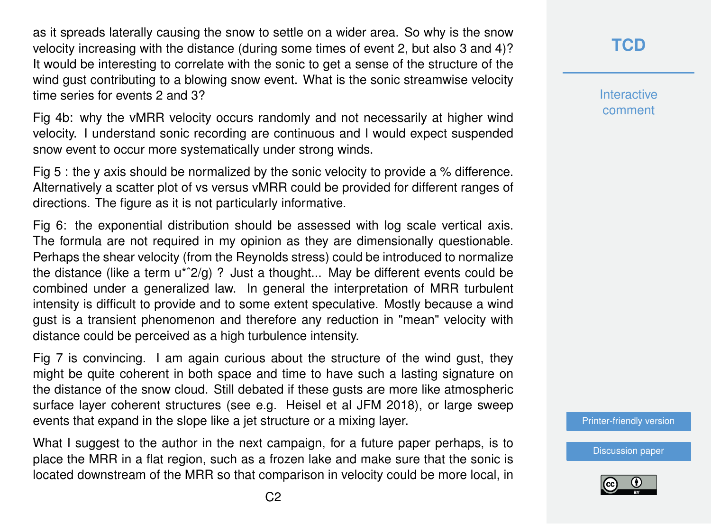as it spreads laterally causing the snow to settle on a wider area. So why is the snow velocity increasing with the distance (during some times of event 2, but also 3 and 4)? It would be interesting to correlate with the sonic to get a sense of the structure of the wind gust contributing to a blowing snow event. What is the sonic streamwise velocity time series for events 2 and 3?

Fig 4b: why the vMRR velocity occurs randomly and not necessarily at higher wind velocity. I understand sonic recording are continuous and I would expect suspended snow event to occur more systematically under strong winds.

Fig 5 : the y axis should be normalized by the sonic velocity to provide a % difference. Alternatively a scatter plot of vs versus vMRR could be provided for different ranges of directions. The figure as it is not particularly informative.

Fig 6: the exponential distribution should be assessed with log scale vertical axis. The formula are not required in my opinion as they are dimensionally questionable. Perhaps the shear velocity (from the Reynolds stress) could be introduced to normalize the distance (like a term  $u^*2/q$ )? Just a thought... May be different events could be combined under a generalized law. In general the interpretation of MRR turbulent intensity is difficult to provide and to some extent speculative. Mostly because a wind gust is a transient phenomenon and therefore any reduction in "mean" velocity with distance could be perceived as a high turbulence intensity.

Fig 7 is convincing. I am again curious about the structure of the wind gust, they might be quite coherent in both space and time to have such a lasting signature on the distance of the snow cloud. Still debated if these gusts are more like atmospheric surface layer coherent structures (see e.g. Heisel et al JFM 2018), or large sweep events that expand in the slope like a jet structure or a mixing layer.

What I suggest to the author in the next campaign, for a future paper perhaps, is to place the MRR in a flat region, such as a frozen lake and make sure that the sonic is located downstream of the MRR so that comparison in velocity could be more local, in

## **[TCD](https://www.the-cryosphere-discuss.net/)**

**Interactive** comment

[Printer-friendly version](https://www.the-cryosphere-discuss.net/tc-2019-260/tc-2019-260-RC2-print.pdf)

[Discussion paper](https://www.the-cryosphere-discuss.net/tc-2019-260)